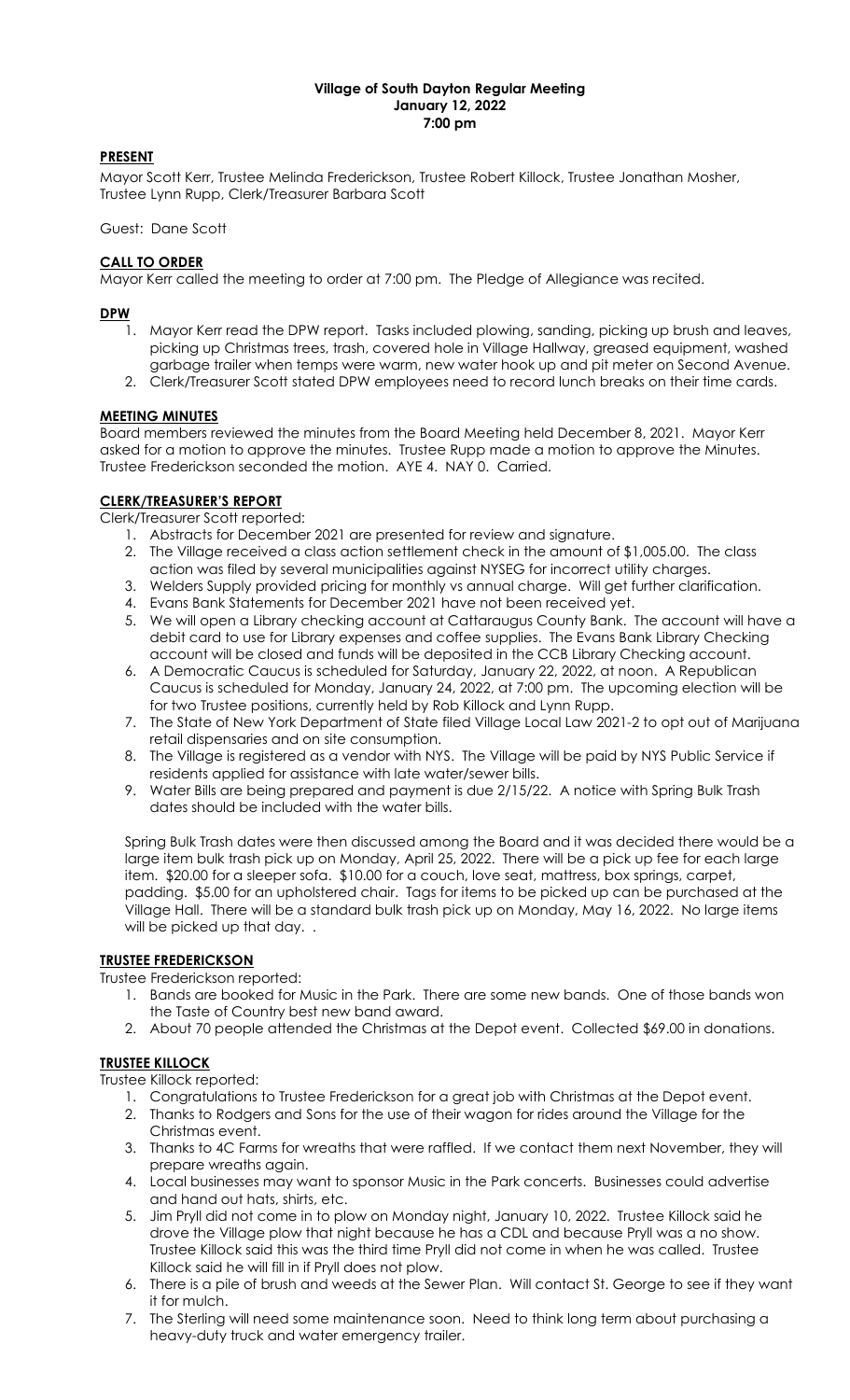#### Village of South Dayton Regular Meeting January 12, 2022 7:00 pm

# PRESENT

Mayor Scott Kerr, Trustee Melinda Frederickson, Trustee Robert Killock, Trustee Jonathan Mosher, Trustee Lynn Rupp, Clerk/Treasurer Barbara Scott

#### Guest: Dane Scott

### CALL TO ORDER

Mayor Kerr called the meeting to order at 7:00 pm. The Pledge of Allegiance was recited.

### DPW

- 1. Mayor Kerr read the DPW report. Tasks included plowing, sanding, picking up brush and leaves, picking up Christmas trees, trash, covered hole in Village Hallway, greased equipment, washed garbage trailer when temps were warm, new water hook up and pit meter on Second Avenue.
- 2. Clerk/Treasurer Scott stated DPW employees need to record lunch breaks on their time cards.

# MEETING MINUTES

Board members reviewed the minutes from the Board Meeting held December 8, 2021. Mayor Kerr asked for a motion to approve the minutes. Trustee Rupp made a motion to approve the Minutes. Trustee Frederickson seconded the motion. AYE 4. NAY 0. Carried.

# CLERK/TREASURER'S REPORT

Clerk/Treasurer Scott reported:

- 1. Abstracts for December 2021 are presented for review and signature.
- 2. The Village received a class action settlement check in the amount of \$1,005.00. The class action was filed by several municipalities against NYSEG for incorrect utility charges.
- 3. Welders Supply provided pricing for monthly vs annual charge. Will get further clarification.
- 4. Evans Bank Statements for December 2021 have not been received yet.
- 5. We will open a Library checking account at Cattaraugus County Bank. The account will have a debit card to use for Library expenses and coffee supplies. The Evans Bank Library Checking account will be closed and funds will be deposited in the CCB Library Checking account.
- 6. A Democratic Caucus is scheduled for Saturday, January 22, 2022, at noon. A Republican Caucus is scheduled for Monday, January 24, 2022, at 7:00 pm. The upcoming election will be for two Trustee positions, currently held by Rob Killock and Lynn Rupp.
- 7. The State of New York Department of State filed Village Local Law 2021-2 to opt out of Marijuana retail dispensaries and on site consumption.
- 8. The Village is registered as a vendor with NYS. The Village will be paid by NYS Public Service if residents applied for assistance with late water/sewer bills.
- 9. Water Bills are being prepared and payment is due 2/15/22. A notice with Spring Bulk Trash dates should be included with the water bills.

Spring Bulk Trash dates were then discussed among the Board and it was decided there would be a large item bulk trash pick up on Monday, April 25, 2022. There will be a pick up fee for each large item. \$20.00 for a sleeper sofa. \$10.00 for a couch, love seat, mattress, box springs, carpet, padding. \$5.00 for an upholstered chair. Tags for items to be picked up can be purchased at the Village Hall. There will be a standard bulk trash pick up on Monday, May 16, 2022. No large items will be picked up that day...

#### TRUSTEE FREDERICKSON

Trustee Frederickson reported:

- 1. Bands are booked for Music in the Park. There are some new bands. One of those bands won the Taste of Country best new band award.
- 2. About 70 people attended the Christmas at the Depot event. Collected \$69.00 in donations.

# TRUSTEE KILLOCK

Trustee Killock reported:

- 1. Congratulations to Trustee Frederickson for a great job with Christmas at the Depot event.
- 2. Thanks to Rodgers and Sons for the use of their wagon for rides around the Village for the Christmas event.
- 3. Thanks to 4C Farms for wreaths that were raffled. If we contact them next November, they will prepare wreaths again.
- 4. Local businesses may want to sponsor Music in the Park concerts. Businesses could advertise and hand out hats, shirts, etc.
- 5. Jim Pryll did not come in to plow on Monday night, January 10, 2022. Trustee Killock said he drove the Village plow that night because he has a CDL and because Pryll was a no show. Trustee Killock said this was the third time Pryll did not come in when he was called. Trustee Killock said he will fill in if Pryll does not plow.
- 6. There is a pile of brush and weeds at the Sewer Plan. Will contact St. George to see if they want it for mulch.
- 7. The Sterling will need some maintenance soon. Need to think long term about purchasing a heavy-duty truck and water emergency trailer.